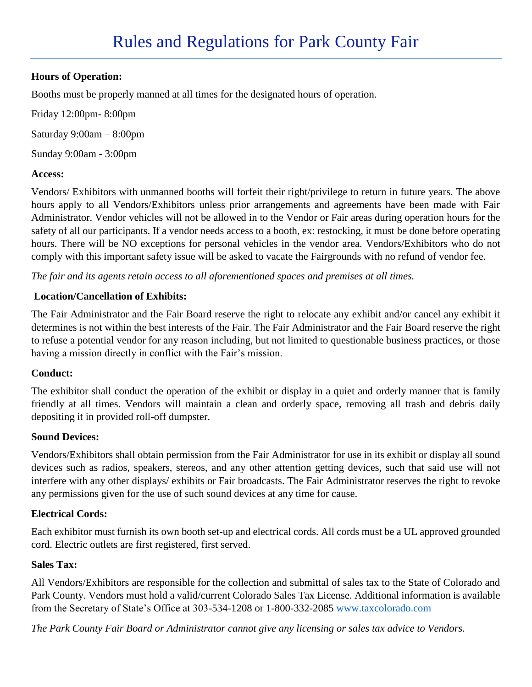## **Hours of Operation:**

Booths must be properly manned at all times for the designated hours of operation.

Friday 12:00pm- 8:00pm Saturday 9:00am – 8:00pm Sunday 9:00am - 3:00pm

## **Access:**

Vendors/ Exhibitors with unmanned booths will forfeit their right/privilege to return in future years. The above hours apply to all Vendors/Exhibitors unless prior arrangements and agreements have been made with Fair Administrator. Vendor vehicles will not be allowed in to the Vendor or Fair areas during operation hours for the safety of all our participants. If a vendor needs access to a booth, ex: restocking, it must be done before operating hours. There will be NO exceptions for personal vehicles in the vendor area. Vendors/Exhibitors who do not comply with this important safety issue will be asked to vacate the Fairgrounds with no refund of vendor fee.

*The fair and its agents retain access to all aforementioned spaces and premises at all times.* 

#### **Location/Cancellation of Exhibits:**

The Fair Administrator and the Fair Board reserve the right to relocate any exhibit and/or cancel any exhibit it determines is not within the best interests of the Fair. The Fair Administrator and the Fair Board reserve the right to refuse a potential vendor for any reason including, but not limited to questionable business practices, or those having a mission directly in conflict with the Fair's mission.

## **Conduct:**

The exhibitor shall conduct the operation of the exhibit or display in a quiet and orderly manner that is family friendly at all times. Vendors will maintain a clean and orderly space, removing all trash and debris daily depositing it in provided roll-off dumpster.

#### **Sound Devices:**

Vendors/Exhibitors shall obtain permission from the Fair Administrator for use in its exhibit or display all sound devices such as radios, speakers, stereos, and any other attention getting devices, such that said use will not interfere with any other displays/ exhibits or Fair broadcasts. The Fair Administrator reserves the right to revoke any permissions given for the use of such sound devices at any time for cause.

## **Electrical Cords:**

Each exhibitor must furnish its own booth set-up and electrical cords. All cords must be a UL approved grounded cord. Electric outlets are first registered, first served.

#### **Sales Tax:**

All Vendors/Exhibitors are responsible for the collection and submittal of sales tax to the State of Colorado and Park County. Vendors must hold a valid/current Colorado Sales Tax License. Additional information is available from the Secretary of State's Office at 303-534-1208 or 1-800-332-2085 [www.taxcolorado.com](http://www.taxcolorado.com/)

*The Park County Fair Board or Administrator cannot give any licensing or sales tax advice to Vendors.*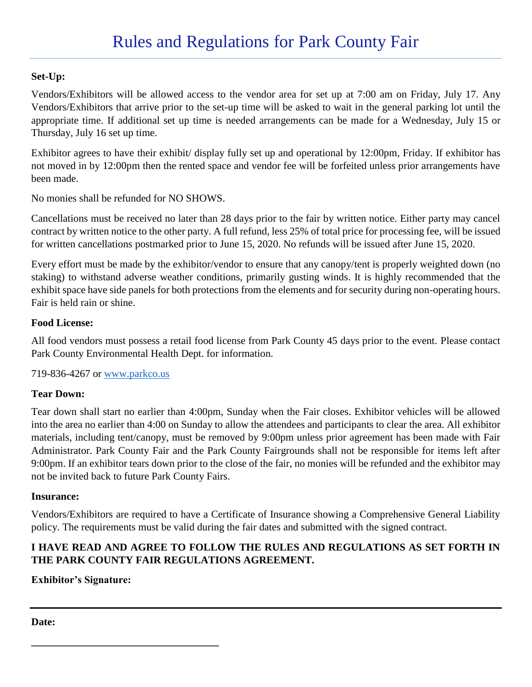## **Set-Up:**

Vendors/Exhibitors will be allowed access to the vendor area for set up at 7:00 am on Friday, July 17. Any Vendors/Exhibitors that arrive prior to the set-up time will be asked to wait in the general parking lot until the appropriate time. If additional set up time is needed arrangements can be made for a Wednesday, July 15 or Thursday, July 16 set up time.

Exhibitor agrees to have their exhibit/ display fully set up and operational by 12:00pm, Friday. If exhibitor has not moved in by 12:00pm then the rented space and vendor fee will be forfeited unless prior arrangements have been made.

No monies shall be refunded for NO SHOWS.

Cancellations must be received no later than 28 days prior to the fair by written notice. Either party may cancel contract by written notice to the other party. A full refund, less 25% of total price for processing fee, will be issued for written cancellations postmarked prior to June 15, 2020. No refunds will be issued after June 15, 2020.

Every effort must be made by the exhibitor/vendor to ensure that any canopy/tent is properly weighted down (no staking) to withstand adverse weather conditions, primarily gusting winds. It is highly recommended that the exhibit space have side panels for both protections from the elements and for security during non-operating hours. Fair is held rain or shine.

## **Food License:**

All food vendors must possess a retail food license from Park County 45 days prior to the event. Please contact Park County Environmental Health Dept. for information.

719-836-4267 or [www.parkco.us](http://www.parkco.us/)

## **Tear Down:**

Tear down shall start no earlier than 4:00pm, Sunday when the Fair closes. Exhibitor vehicles will be allowed into the area no earlier than 4:00 on Sunday to allow the attendees and participants to clear the area. All exhibitor materials, including tent/canopy, must be removed by 9:00pm unless prior agreement has been made with Fair Administrator. Park County Fair and the Park County Fairgrounds shall not be responsible for items left after 9:00pm. If an exhibitor tears down prior to the close of the fair, no monies will be refunded and the exhibitor may not be invited back to future Park County Fairs.

## **Insurance:**

Vendors/Exhibitors are required to have a Certificate of Insurance showing a Comprehensive General Liability policy. The requirements must be valid during the fair dates and submitted with the signed contract.

# **I HAVE READ AND AGREE TO FOLLOW THE RULES AND REGULATIONS AS SET FORTH IN THE PARK COUNTY FAIR REGULATIONS AGREEMENT.**

## **Exhibitor's Signature:**

**\_\_\_\_\_\_\_\_\_\_\_\_\_\_\_\_\_\_\_\_\_\_\_\_\_\_\_\_\_\_\_\_\_\_\_\_**

**Date:**